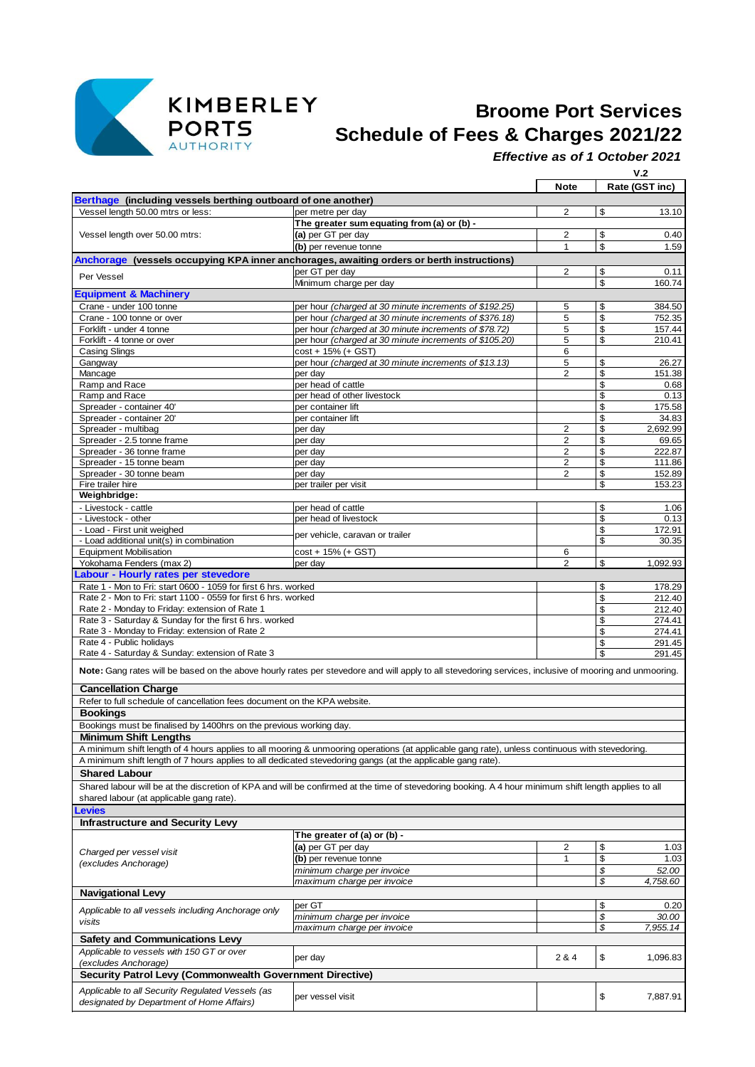

## **Broome Port Services PORTS**<br>AUTHORITY **Schedule of Fees & Charges 2021/22**

*Effective as of 1 October 2021*

|                                                                                                             |                                                                                                                                                        |                         |          | V.2              |  |
|-------------------------------------------------------------------------------------------------------------|--------------------------------------------------------------------------------------------------------------------------------------------------------|-------------------------|----------|------------------|--|
|                                                                                                             |                                                                                                                                                        | <b>Note</b>             |          | Rate (GST inc)   |  |
| Berthage (including vessels berthing outboard of one another)                                               |                                                                                                                                                        |                         |          |                  |  |
| Vessel length 50.00 mtrs or less:                                                                           | per metre per day                                                                                                                                      | 2                       | \$       | 13.10            |  |
| Vessel length over 50.00 mtrs:                                                                              | The greater sum equating from (a) or (b) -<br>(a) per GT per day                                                                                       | 2                       | \$       | 0.40             |  |
|                                                                                                             | (b) per revenue tonne                                                                                                                                  | $\mathbf{1}$            | \$       | 1.59             |  |
|                                                                                                             | Anchorage (vessels occupying KPA inner anchorages, awaiting orders or berth instructions)                                                              |                         |          |                  |  |
|                                                                                                             | per GT per day                                                                                                                                         | 2                       | \$       | 0.11             |  |
| Per Vessel                                                                                                  | Minimum charge per day                                                                                                                                 |                         | \$       | 160.74           |  |
| <b>Equipment &amp; Machinery</b>                                                                            |                                                                                                                                                        |                         |          |                  |  |
| Crane - under 100 tonne                                                                                     | per hour (charged at 30 minute increments of \$192.25)                                                                                                 | 5                       | \$       | 384.50           |  |
| Crane - 100 tonne or over<br>Forklift - under 4 tonne                                                       | per hour (charged at 30 minute increments of \$376.18)<br>per hour (charged at 30 minute increments of \$78.72)                                        | 5<br>5                  | \$<br>\$ | 752.35<br>157.44 |  |
| Forklift - 4 tonne or over                                                                                  | per hour (charged at 30 minute increments of \$105.20)                                                                                                 | 5                       | \$       | 210.41           |  |
| <b>Casing Slings</b>                                                                                        | cost + 15% (+ GST)                                                                                                                                     | 6                       |          |                  |  |
| Gangway                                                                                                     | per hour (charged at 30 minute increments of \$13.13)                                                                                                  | 5                       | \$       | 26.27            |  |
| Mancage                                                                                                     | per day                                                                                                                                                | 2                       | \$       | 151.38           |  |
| Ramp and Race                                                                                               | per head of cattle                                                                                                                                     |                         | \$       | 0.68             |  |
| Ramp and Race<br>Spreader - container 40'                                                                   | per head of other livestock<br>per container lift                                                                                                      |                         | \$<br>\$ | 0.13<br>175.58   |  |
| Spreader - container 20'                                                                                    | per container lift                                                                                                                                     |                         | \$       | 34.83            |  |
| Spreader - multibag                                                                                         | per day                                                                                                                                                | $\overline{2}$          | \$       | 2,692.99         |  |
| Spreader - 2.5 tonne frame                                                                                  | per day                                                                                                                                                | 2                       | \$       | 69.65            |  |
| Spreader - 36 tonne frame                                                                                   | per day                                                                                                                                                | 2                       | \$       | 222.87           |  |
| Spreader - 15 tonne beam                                                                                    | per day                                                                                                                                                | 2                       | \$       | 111.86           |  |
| Spreader - 30 tonne beam<br>Fire trailer hire                                                               | per day<br>per trailer per visit                                                                                                                       | 2                       | \$<br>\$ | 152.89<br>153.23 |  |
| Weighbridge:                                                                                                |                                                                                                                                                        |                         |          |                  |  |
| - Livestock - cattle                                                                                        | per head of cattle                                                                                                                                     |                         | \$       | 1.06             |  |
| - Livestock - other                                                                                         | per head of livestock                                                                                                                                  |                         | \$       | 0.13             |  |
| - Load - First unit weighed                                                                                 | per vehicle, caravan or trailer                                                                                                                        |                         | \$       | 172.91           |  |
| - Load additional unit(s) in combination                                                                    |                                                                                                                                                        |                         | \$       | 30.35            |  |
| <b>Equipment Mobilisation</b><br>Yokohama Fenders (max 2)                                                   | cost + 15% (+ GST)<br>per day                                                                                                                          | 6<br>2                  | \$       | 1,092.93         |  |
| Labour - Hourly rates per stevedore                                                                         |                                                                                                                                                        |                         |          |                  |  |
| Rate 1 - Mon to Fri: start 0600 - 1059 for first 6 hrs. worked                                              |                                                                                                                                                        |                         | \$       | 178.29           |  |
| Rate 2 - Mon to Fri: start 1100 - 0559 for first 6 hrs. worked                                              |                                                                                                                                                        |                         | \$       | 212.40           |  |
| Rate 2 - Monday to Friday: extension of Rate 1                                                              |                                                                                                                                                        |                         | \$       | 212.40           |  |
| Rate 3 - Saturday & Sunday for the first 6 hrs. worked                                                      |                                                                                                                                                        |                         | \$       | 274.41           |  |
| Rate 3 - Monday to Friday: extension of Rate 2                                                              |                                                                                                                                                        |                         | \$       | 274.41           |  |
| Rate 4 - Public holidays<br>Rate 4 - Saturday & Sunday: extension of Rate 3                                 |                                                                                                                                                        |                         | \$<br>\$ | 291.45<br>291.45 |  |
|                                                                                                             |                                                                                                                                                        |                         |          |                  |  |
|                                                                                                             | Note: Gang rates will be based on the above hourly rates per stevedore and will apply to all stevedoring services, inclusive of mooring and unmooring. |                         |          |                  |  |
| <b>Cancellation Charge</b>                                                                                  |                                                                                                                                                        |                         |          |                  |  |
| Refer to full schedule of cancellation fees document on the KPA website.                                    |                                                                                                                                                        |                         |          |                  |  |
| <b>Bookings</b>                                                                                             |                                                                                                                                                        |                         |          |                  |  |
| Bookings must be finalised by 1400hrs on the previous working day.                                          |                                                                                                                                                        |                         |          |                  |  |
| Minimum Shift Lengths                                                                                       |                                                                                                                                                        |                         |          |                  |  |
|                                                                                                             | A minimum shift length of 4 hours applies to all mooring & unmooring operations (at applicable gang rate), unless continuous with stevedoring.         |                         |          |                  |  |
| A minimum shift length of 7 hours applies to all dedicated stevedoring gangs (at the applicable gang rate). |                                                                                                                                                        |                         |          |                  |  |
| <b>Shared Labour</b>                                                                                        |                                                                                                                                                        |                         |          |                  |  |
| shared labour (at applicable gang rate).                                                                    | Shared labour will be at the discretion of KPA and will be confirmed at the time of stevedoring booking. A 4 hour minimum shift length applies to all  |                         |          |                  |  |
| evies.                                                                                                      |                                                                                                                                                        |                         |          |                  |  |
| <b>Infrastructure and Security Levy</b>                                                                     |                                                                                                                                                        |                         |          |                  |  |
|                                                                                                             | The greater of (a) or (b) -                                                                                                                            |                         |          |                  |  |
|                                                                                                             | (a) per GT per day                                                                                                                                     | $\overline{\mathbf{c}}$ | \$       | 1.03             |  |
| Charged per vessel visit<br>(excludes Anchorage)                                                            | (b) per revenue tonne                                                                                                                                  | 1                       | \$       | 1.03             |  |
|                                                                                                             | minimum charge per invoice                                                                                                                             |                         | \$       | 52.00            |  |
|                                                                                                             | maximum charge per invoice                                                                                                                             |                         | \$       | 4,758.60         |  |
| <b>Navigational Levy</b>                                                                                    |                                                                                                                                                        |                         |          |                  |  |
| Applicable to all vessels including Anchorage only                                                          | per GT                                                                                                                                                 |                         | \$       | 0.20             |  |
| visits                                                                                                      | minimum charge per invoice                                                                                                                             |                         | \$<br>\$ | 30.00            |  |
| <b>Safety and Communications Levy</b>                                                                       | maximum charge per invoice                                                                                                                             |                         |          | 7,955.14         |  |
| Applicable to vessels with 150 GT or over                                                                   |                                                                                                                                                        |                         |          |                  |  |
| (excludes Anchorage)                                                                                        | per day                                                                                                                                                | 2 & 4                   | \$       | 1,096.83         |  |
| Security Patrol Levy (Commonwealth Government Directive)                                                    |                                                                                                                                                        |                         |          |                  |  |
| Applicable to all Security Regulated Vessels (as                                                            |                                                                                                                                                        |                         |          |                  |  |
| designated by Department of Home Affairs)                                                                   | per vessel visit                                                                                                                                       |                         | \$       | 7,887.91         |  |
|                                                                                                             |                                                                                                                                                        |                         |          |                  |  |